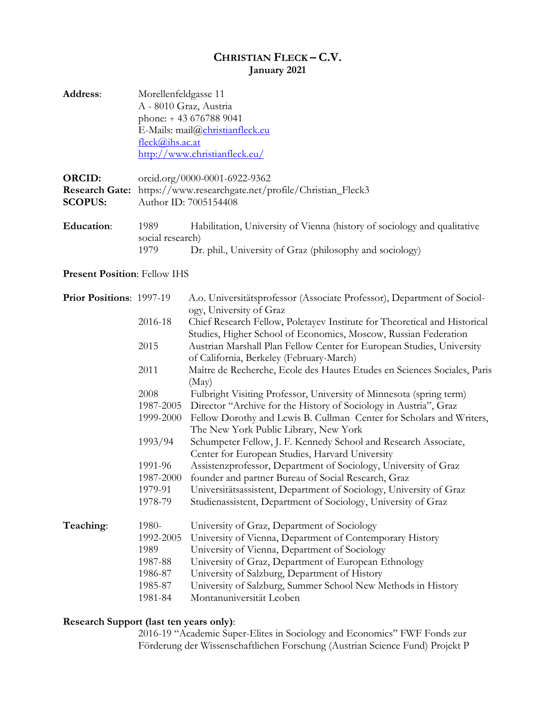## **CHRISTIAN FLECK – C.V. January 2021**

| Address:                                                 | Morellenfeldgasse 11<br>A - 8010 Graz, Austria<br>phone: +43 676788 9041<br>E-Mails: mail@christianfleck.eu<br>fleck@ihs.ac.at<br>http://www.christianfleck.eu/ |                                                                                                                                                                                   |
|----------------------------------------------------------|-----------------------------------------------------------------------------------------------------------------------------------------------------------------|-----------------------------------------------------------------------------------------------------------------------------------------------------------------------------------|
| <b>ORCID:</b><br><b>Research Gate:</b><br><b>SCOPUS:</b> | orcid.org/0000-0001-6922-9362<br>https://www.researchgate.net/profile/Christian_Fleck3<br>Author ID: 7005154408                                                 |                                                                                                                                                                                   |
| <b>Education:</b>                                        | 1989<br>social research)<br>1979                                                                                                                                | Habilitation, University of Vienna (history of sociology and qualitative<br>Dr. phil., University of Graz (philosophy and sociology)                                              |
| <b>Present Position: Fellow IHS</b>                      |                                                                                                                                                                 |                                                                                                                                                                                   |
| Prior Positions: 1997-19                                 |                                                                                                                                                                 | A.o. Universitätsprofessor (Associate Professor), Department of Sociol-<br>ogy, University of Graz                                                                                |
|                                                          | 2016-18                                                                                                                                                         | Chief Research Fellow, Poletayev Institute for Theoretical and Historical<br>Studies, Higher School of Economics, Moscow, Russian Federation                                      |
|                                                          | 2015                                                                                                                                                            | Austrian Marshall Plan Fellow Center for European Studies, University<br>of California, Berkeley (February-March)                                                                 |
|                                                          | 2011                                                                                                                                                            | Maître de Recherche, Ecole des Hautes Etudes en Sciences Sociales, Paris<br>(May)                                                                                                 |
|                                                          | 2008                                                                                                                                                            | Fulbright Visiting Professor, University of Minnesota (spring term)                                                                                                               |
|                                                          | 1987-2005<br>1999-2000                                                                                                                                          | Director "Archive for the History of Sociology in Austria", Graz<br>Fellow Dorothy and Lewis B. Cullman Center for Scholars and Writers,<br>The New York Public Library, New York |
|                                                          | 1993/94                                                                                                                                                         | Schumpeter Fellow, J. F. Kennedy School and Research Associate,<br>Center for European Studies, Harvard University                                                                |
|                                                          | 1991-96                                                                                                                                                         | Assistenzprofessor, Department of Sociology, University of Graz                                                                                                                   |
|                                                          | 1987-2000                                                                                                                                                       | founder and partner Bureau of Social Research, Graz                                                                                                                               |
|                                                          | 1979-91                                                                                                                                                         | Universitätsassistent, Department of Sociology, University of Graz                                                                                                                |
|                                                          | 1978-79                                                                                                                                                         | Studienassistent, Department of Sociology, University of Graz                                                                                                                     |
| Teaching:                                                | 1980-                                                                                                                                                           | University of Graz, Department of Sociology                                                                                                                                       |
|                                                          | 1992-2005                                                                                                                                                       | University of Vienna, Department of Contemporary History                                                                                                                          |
|                                                          | 1989                                                                                                                                                            | University of Vienna, Department of Sociology                                                                                                                                     |
|                                                          | 1987-88                                                                                                                                                         | University of Graz, Department of European Ethnology                                                                                                                              |
|                                                          | 1986-87                                                                                                                                                         | University of Salzburg, Department of History                                                                                                                                     |
|                                                          | 1985-87                                                                                                                                                         | University of Salzburg, Summer School New Methods in History                                                                                                                      |
|                                                          | 1981-84                                                                                                                                                         | Montanuniversität Leoben                                                                                                                                                          |

## **Research Support (last ten years only)**:

2016-19 "Academic Super-Elites in Sociology and Economics" FWF Fonds zur Förderung der Wissenschaftlichen Forschung (Austrian Science Fund) Projekt P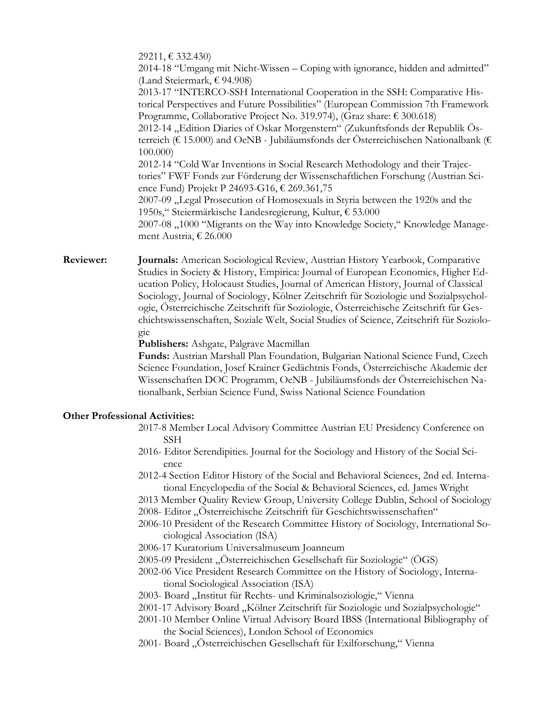29211, € 332.430) 2014-18 "Umgang mit Nicht-Wissen – Coping with ignorance, hidden and admitted" (Land Steiermark, € 94.908) 2013-17 "INTERCO-SSH International Cooperation in the SSH: Comparative Historical Perspectives and Future Possibilities" (European Commission 7th Framework Programme, Collaborative Project No. 319.974), (Graz share: € 300.618) 2012-14 "Edition Diaries of Oskar Morgenstern" (Zukunftsfonds der Republik Österreich (€ 15.000) and OeNB - Jubiläumsfonds der Österreichischen Nationalbank (€ 100.000) 2012-14 "Cold War Inventions in Social Research Methodology and their Trajectories" FWF Fonds zur Förderung der Wissenschaftlichen Forschung (Austrian Science Fund) Projekt P 24693-G16, € 269.361,75 2007-09 "Legal Prosecution of Homosexuals in Styria between the 1920s and the 1950s," Steiermärkische Landesregierung, Kultur, € 53.000 2007-08 "1000 "Migrants on the Way into Knowledge Society," Knowledge Management Austria, € 26.000

**Reviewer: Journals:** American Sociological Review, Austrian History Yearbook, Comparative Studies in Society & History, Empirica: Journal of European Economics, Higher Education Policy, Holocaust Studies, Journal of American History, Journal of Classical Sociology, Journal of Sociology, Kölner Zeitschrift für Soziologie und Sozialpsychologie, Österreichische Zeitschrift für Soziologie, Österreichische Zeitschrift für Geschichtswissenschaften, Soziale Welt, Social Studies of Science, Zeitschrift für Soziologie

**Publishers:** Ashgate, Palgrave Macmillan

**Funds:** Austrian Marshall Plan Foundation, Bulgarian National Science Fund, Czech Science Foundation, Josef Krainer Gedächtnis Fonds, Österreichische Akademie der Wissenschaften DOC Programm, OeNB - Jubiläumsfonds der Österreichischen Nationalbank, Serbian Science Fund, Swiss National Science Foundation

## **Other Professional Activities:**

- 2017-8 Member Local Advisory Committee Austrian EU Presidency Conference on SSH
- 2016- Editor Serendipities. Journal for the Sociology and History of the Social Science
- 2012-4 Section Editor History of the Social and Behavioral Sciences, 2nd ed. International Encyclopedia of the Social & Behavioral Sciences, ed. James Wright
- 2013 Member Quality Review Group, University College Dublin, School of Sociology
- 2008- Editor "Österreichische Zeitschrift für Geschichtswissenschaften"
- 2006-10 President of the Research Committee History of Sociology, International Sociological Association (ISA)
- 2006-17 Kuratorium Universalmuseum Joanneum
- 2005-09 President "Österreichischen Gesellschaft für Soziologie" (ÖGS)
- 2002-06 Vice President Research Committee on the History of Sociology, International Sociological Association (ISA)
- 2003- Board "Institut für Rechts- und Kriminalsoziologie," Vienna
- 2001-17 Advisory Board "Kölner Zeitschrift für Soziologie und Sozialpsychologie"
- 2001-10 Member Online Virtual Advisory Board IBSS (International Bibliography of the Social Sciences), London School of Economics
- 2001- Board "Österreichischen Gesellschaft für Exilforschung," Vienna